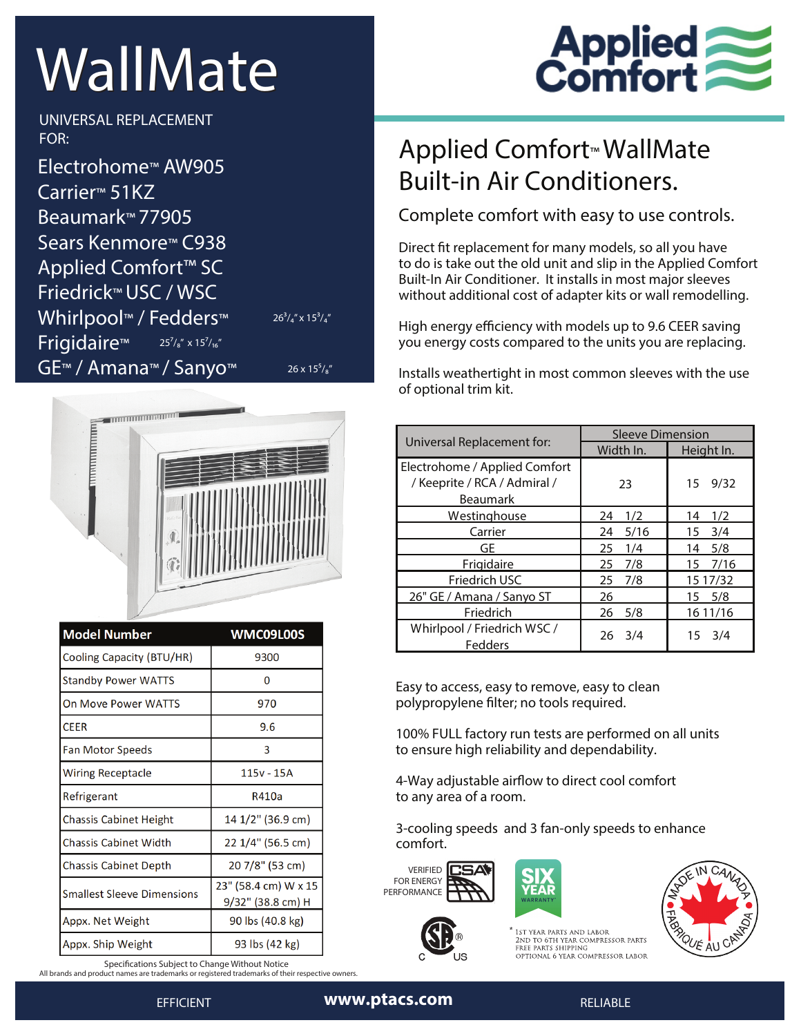## WallMate

**Applied<br>Comfort** 

**UNIVERSAL REPLACEMENT FOR:**

**Electrohome™ AW905 Carrier™ 51KZ Beaumark™ 77905 Sears Kenmore™ C938 Applied Comfort™ SC Friedrick™ USC / WSC Whirlpool™ / Fedders™ Frigidaire™ GE™ / Amana™ / Sanyo™**  $25<sup>7</sup>/<sub>8</sub>''$  x  $15<sup>7</sup>/<sub>16</sub>''$ 

 $26^3$ /<sub>4</sub>" x  $15^3$ /<sub>4</sub>"

 $26 \times 15^{5}/\frac{1}{8}$ 



| <b>Model Number</b>           | WMC09L00S                                 |  |
|-------------------------------|-------------------------------------------|--|
| Cooling Capacity (BTU/HR)     | 9300                                      |  |
| <b>Standby Power WATTS</b>    | 0                                         |  |
| On Move Power WATTS           | 970                                       |  |
| <b>CEER</b>                   | 9.6                                       |  |
| Fan Motor Speeds              | 3                                         |  |
| Wiring Receptacle             | 115v - 15A                                |  |
| Refrigerant                   | R410a                                     |  |
| <b>Chassis Cabinet Height</b> | 14 1/2" (36.9 cm)                         |  |
| Chassis Cabinet Width         | 22 1/4" (56.5 cm)                         |  |
| <b>Chassis Cabinet Depth</b>  | 20 7/8" (53 cm)                           |  |
| Smallest Sleeve Dimensions    | 23" (58.4 cm) W x 15<br>9/32" (38.8 cm) H |  |
| Appx. Net Weight              | 90 lbs (40.8 kg)                          |  |
| Appx. Ship Weight             | 93 lbs (42 kg)                            |  |

**Specifications Subject to Change Without Notice** 

*All brands and product names are trademarks or registered trademarks of their respective owners.* 

## Applied Comfort™ WallMate Built-in Air Conditioners.

Complete comfort with easy to use controls.

Direct fit replacement for many models, so all you have to do is take out the old unit and slip in the Applied Comfort Built-In Air Conditioner. It installs in most major sleeves without additional cost of adapter kits or wall remodelling.

High energy efficiency with models up to 9.6 CEER saving you energy costs compared to the units you are replacing.

Installs weathertight in most common sleeves with the use of optional trim kit.

| Universal Replacement for:             | <b>Sleeve Dimension</b> |                |
|----------------------------------------|-------------------------|----------------|
|                                        | Width In.               | Height In.     |
| Electrohome / Applied Comfort          |                         |                |
| / Keeprite / RCA / Admiral /           | 23                      | 9/32<br>15     |
| <b>Beaumark</b>                        |                         |                |
| Westinghouse                           | 1/2<br>24               | 14<br>1/2      |
| Carrier                                | 5/16<br>24              | 3/4<br>15      |
| GE                                     | 25<br>1/4               | 5/8<br>14      |
| Frigidaire                             | 25<br>7/8               | 15 7/16        |
| Friedrich USC                          | 25<br>7/8               | 15 17/32       |
| 26" GE / Amana / Sanyo ST              | 26                      | 15 5/8         |
| Friedrich                              | 5/8<br>26               | 16 11/16       |
| Whirlpool / Friedrich WSC /<br>Fedders | 3/4<br>26               | $15 \quad 3/4$ |

Easy to access, easy to remove, easy to clean polypropylene filter; no tools required.

100% FULL factory run tests are performed on all units to ensure high reliability and dependability.

4-Way adjustable airflow to direct cool comfort to any area of a room.

3-cooling speeds and 3 fan-only speeds to enhance comfort.

**VERIFIED** FOR ENERGY PERFORMANCE





1st year parts and labor<br>2nd to 6th year compressor parts<br>free parts shipping OPTIONAL 6 YEAR COMPRESSOR LABOR



EFFICIENT **www.ptacs.com** RELIABLE